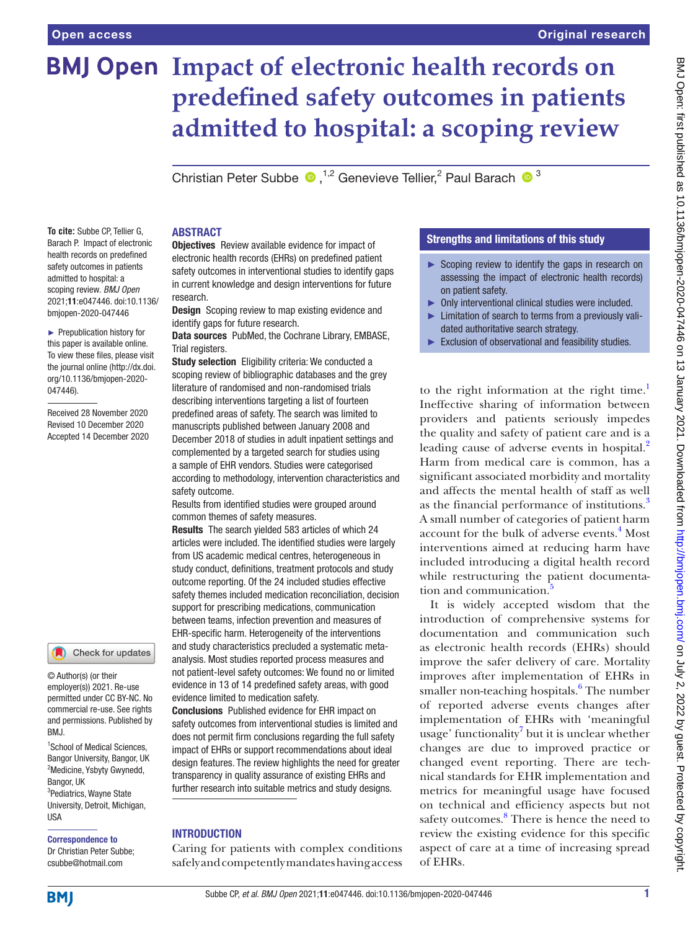# **BMJ Open Impact of electronic health records on predefined safety outcomes in patients admitted to hospital: a scoping review**

Christian Peter Subbe  $\bullet$ ,<sup>1,2</sup> Genevieve Tellier,<sup>2</sup> Paul Barach  $\bullet$ <sup>3</sup>

**To cite:** Subbe CP, Tellier G, Barach P. Impact of electronic health records on predefined safety outcomes in patients admitted to hospital: a scoping review. *BMJ Open* 2021;11:e047446. doi:10.1136/ bmjopen-2020-047446

► Prepublication history for this paper is available online. To view these files, please visit the journal online (http://dx.doi. org/10.1136/bmjopen-2020- 047446).

Received 28 November 2020 Revised 10 December 2020 Accepted 14 December 2020

#### Check for updates

© Author(s) (or their employer(s)) 2021. Re-use permitted under CC BY-NC. No commercial re-use. See rights and permissions. Published by RM<sub>J</sub>

<sup>1</sup> School of Medical Sciences, Bangor University, Bangor, UK <sup>2</sup>Medicine, Ysbyty Gwynedd, **Bangor, IIK** <sup>3</sup>Pediatrics, Wayne State University, Detroit, Michigan, **IISA** 

#### Correspondence to

Dr Christian Peter Subbe; csubbe@hotmail.com

#### ABSTRACT

Objectives Review available evidence for impact of electronic health records (EHRs) on predefined patient safety outcomes in interventional studies to identify gaps in current knowledge and design interventions for future research.

**Design** Scoping review to map existing evidence and identify gaps for future research.

Data sources PubMed, the Cochrane Library, EMBASE, Trial registers.

Study selection Eligibility criteria: We conducted a scoping review of bibliographic databases and the grey literature of randomised and non-randomised trials describing interventions targeting a list of fourteen predefined areas of safety. The search was limited to manuscripts published between January 2008 and December 2018 of studies in adult inpatient settings and complemented by a targeted search for studies using a sample of EHR vendors. Studies were categorised according to methodology, intervention characteristics and safety outcome.

Results from identified studies were grouped around common themes of safety measures.

Results The search yielded 583 articles of which 24 articles were included. The identified studies were largely from US academic medical centres, heterogeneous in study conduct, definitions, treatment protocols and study outcome reporting. Of the 24 included studies effective safety themes included medication reconciliation, decision support for prescribing medications, communication between teams, infection prevention and measures of EHR-specific harm. Heterogeneity of the interventions and study characteristics precluded a systematic metaanalysis. Most studies reported process measures and not patient-level safety outcomes: We found no or limited

evidence in 13 of 14 predefined safety areas, with good evidence limited to medication safety.

Conclusions Published evidence for EHR impact on safety outcomes from interventional studies is limited and does not permit firm conclusions regarding the full safety impact of EHRs or support recommendations about ideal design features. The review highlights the need for greater transparency in quality assurance of existing EHRs and further research into suitable metrics and study designs.

#### INTRODUCTION

Caring for patients with complex conditions safely and competently mandates having access

#### Strengths and limitations of this study

- ► Scoping review to identify the gaps in research on assessing the impact of electronic health records) on patient safety.
- ► Only interventional clinical studies were included. ► Limitation of search to terms from a previously vali-
- dated authoritative search strategy.
- ► Exclusion of observational and feasibility studies.

to the right information at the right time.<sup>1</sup> Ineffective sharing of information between providers and patients seriously impedes the quality and safety of patient care and is a leading cause of adverse events in hospital.<sup>[2](#page-8-1)</sup> Harm from medical care is common, has a significant associated morbidity and mortality and affects the mental health of staff as well as the financial performance of institutions.<sup>[3](#page-8-2)</sup> A small number of categories of patient harm account for the bulk of adverse events.<sup>[4](#page-8-3)</sup> Most interventions aimed at reducing harm have included introducing a digital health record while restructuring the patient documentation and communication.<sup>5</sup>

It is widely accepted wisdom that the introduction of comprehensive systems for documentation and communication such as electronic health records (EHRs) should improve the safer delivery of care. Mortality improves after implementation of EHRs in smaller non-teaching hospitals.<sup>[6](#page-8-5)</sup> The number of reported adverse events changes after implementation of EHRs with 'meaningful usage' functionality<sup>7</sup> but it is unclear whether changes are due to improved practice or changed event reporting. There are technical standards for EHR implementation and metrics for meaningful usage have focused on technical and efficiency aspects but not safety outcomes.<sup>[8](#page-8-7)</sup> There is hence the need to review the existing evidence for this specific aspect of care at a time of increasing spread of EHRs.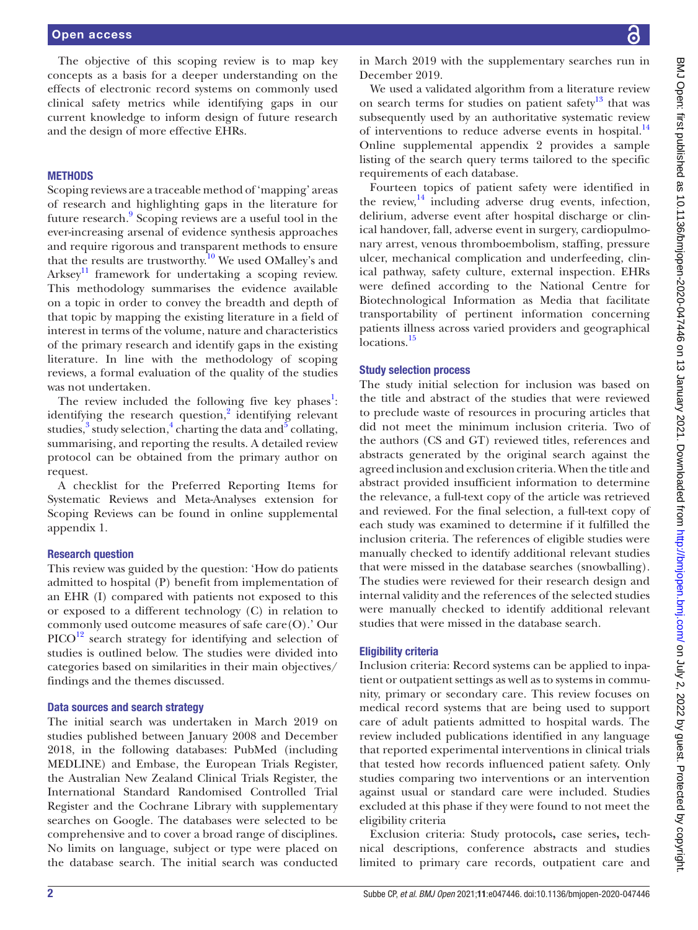The objective of this scoping review is to map key concepts as a basis for a deeper understanding on the effects of electronic record systems on commonly used clinical safety metrics while identifying gaps in our current knowledge to inform design of future research and the design of more effective EHRs.

#### **METHODS**

Scoping reviews are a traceable method of 'mapping' areas of research and highlighting gaps in the literature for future research.<sup>9</sup> Scoping reviews are a useful tool in the ever-increasing arsenal of evidence synthesis approaches and require rigorous and transparent methods to ensure that the results are trustworthy.<sup>10</sup> We used OMalley's and  $Arksey<sup>11</sup>$  framework for undertaking a scoping review. This methodology summarises the evidence available on a topic in order to convey the breadth and depth of that topic by mapping the existing literature in a field of interest in terms of the volume, nature and characteristics of the primary research and identify gaps in the existing literature. In line with the methodology of scoping reviews, a formal evaluation of the quality of the studies was not undertaken.

The review included the following five key phases<sup>1</sup>: identifying the research question,<sup>2</sup> identifying relevant studies,<sup>[3](#page-8-2)</sup> study selection,<sup>4</sup> charting the data and<sup>5</sup> collating, summarising, and reporting the results. A detailed review protocol can be obtained from the primary author on request.

A checklist for the Preferred Reporting Items for Systematic Reviews and Meta-Analyses extension for Scoping Reviews can be found in [online supplemental](https://dx.doi.org/10.1136/bmjopen-2020-047446) [appendix 1](https://dx.doi.org/10.1136/bmjopen-2020-047446).

#### Research question

This review was guided by the question: 'How do patients admitted to hospital (P) benefit from implementation of an EHR (I) compared with patients not exposed to this or exposed to a different technology (C) in relation to commonly used outcome measures of safe care(O).' Our  $\text{PICO}^{12}$  search strategy for identifying and selection of studies is outlined below. The studies were divided into categories based on similarities in their main objectives/ findings and the themes discussed.

#### Data sources and search strategy

The initial search was undertaken in March 2019 on studies published between January 2008 and December 2018, in the following databases: PubMed (including MEDLINE) and Embase, the European Trials Register, the Australian New Zealand Clinical Trials Register, the International Standard Randomised Controlled Trial Register and the Cochrane Library with supplementary searches on Google. The databases were selected to be comprehensive and to cover a broad range of disciplines. No limits on language, subject or type were placed on the database search. The initial search was conducted

in March 2019 with the supplementary searches run in December 2019.

We used a validated algorithm from a literature review on search terms for studies on patient safety $13$  that was subsequently used by an authoritative systematic review of interventions to reduce adverse events in hospital. $^{14}$  $^{14}$  $^{14}$ [Online supplemental appendix 2](https://dx.doi.org/10.1136/bmjopen-2020-047446) provides a sample listing of the search query terms tailored to the specific requirements of each database.

Fourteen topics of patient safety were identified in the review, $^{14}$  $^{14}$  $^{14}$  including adverse drug events, infection, delirium, adverse event after hospital discharge or clinical handover, fall, adverse event in surgery, cardiopulmonary arrest, venous thromboembolism, staffing, pressure ulcer, mechanical complication and underfeeding, clinical pathway, safety culture, external inspection. EHRs were defined according to the National Centre for Biotechnological Information as Media that facilitate transportability of pertinent information concerning patients illness across varied providers and geographical locations.<sup>15</sup>

#### Study selection process

The study initial selection for inclusion was based on the title and abstract of the studies that were reviewed to preclude waste of resources in procuring articles that did not meet the minimum inclusion criteria. Two of the authors (CS and GT) reviewed titles, references and abstracts generated by the original search against the agreed inclusion and exclusion criteria. When the title and abstract provided insufficient information to determine the relevance, a full-text copy of the article was retrieved and reviewed. For the final selection, a full-text copy of each study was examined to determine if it fulfilled the inclusion criteria. The references of eligible studies were manually checked to identify additional relevant studies that were missed in the database searches (snowballing). The studies were reviewed for their research design and internal validity and the references of the selected studies were manually checked to identify additional relevant studies that were missed in the database search.

### Eligibility criteria

Inclusion criteria: Record systems can be applied to inpatient or outpatient settings as well as to systems in community, primary or secondary care. This review focuses on medical record systems that are being used to support care of adult patients admitted to hospital wards. The review included publications identified in any language that reported experimental interventions in clinical trials that tested how records influenced patient safety. Only studies comparing two interventions or an intervention against usual or standard care were included. Studies excluded at this phase if they were found to not meet the eligibility criteria

Exclusion criteria: Study protocols**,** case series**,** technical descriptions, conference abstracts and studies limited to primary care records, outpatient care and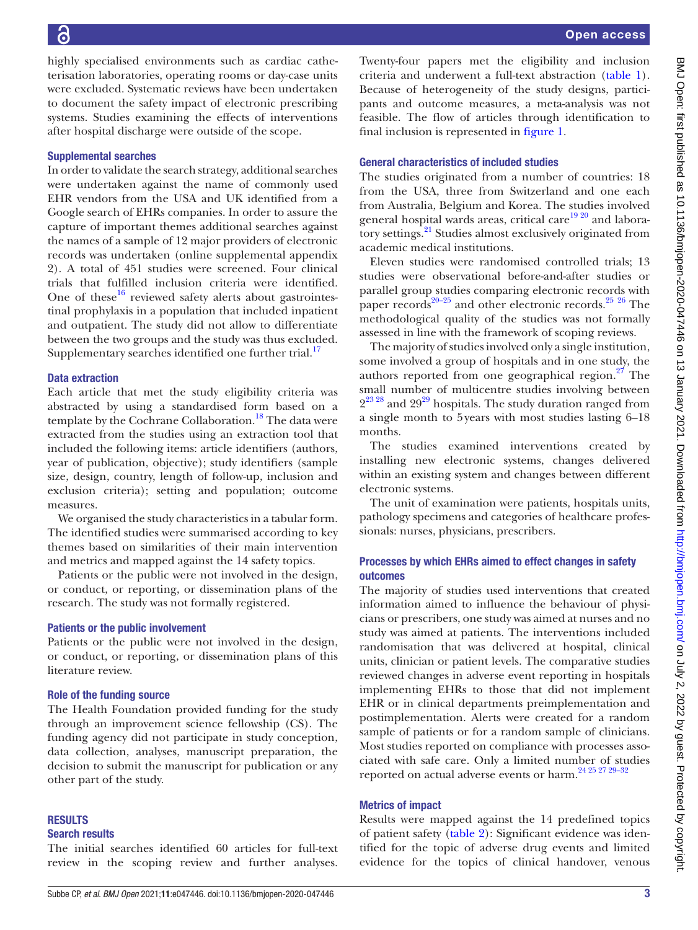highly specialised environments such as cardiac catheterisation laboratories, operating rooms or day-case units were excluded. Systematic reviews have been undertaken to document the safety impact of electronic prescribing systems. Studies examining the effects of interventions after hospital discharge were outside of the scope.

#### Supplemental searches

In order to validate the search strategy, additional searches were undertaken against the name of commonly used EHR vendors from the USA and UK identified from a Google search of EHRs companies. In order to assure the capture of important themes additional searches against the names of a sample of 12 major providers of electronic records was undertaken [\(online supplemental appendix](https://dx.doi.org/10.1136/bmjopen-2020-047446) [2\)](https://dx.doi.org/10.1136/bmjopen-2020-047446). A total of 451 studies were screened. Four clinical trials that fulfilled inclusion criteria were identified. One of these $16$  reviewed safety alerts about gastrointestinal prophylaxis in a population that included inpatient and outpatient. The study did not allow to differentiate between the two groups and the study was thus excluded. Supplementary searches identified one further trial.<sup>[17](#page-8-16)</sup>

#### Data extraction

Each article that met the study eligibility criteria was abstracted by using a standardised form based on a template by the Cochrane Collaboration.<sup>18</sup> The data were extracted from the studies using an extraction tool that included the following items: article identifiers (authors, year of publication, objective); study identifiers (sample size, design, country, length of follow-up, inclusion and exclusion criteria); setting and population; outcome measures.

We organised the study characteristics in a tabular form. The identified studies were summarised according to key themes based on similarities of their main intervention and metrics and mapped against the 14 safety topics.

Patients or the public were not involved in the design, or conduct, or reporting, or dissemination plans of the research. The study was not formally registered.

#### Patients or the public involvement

Patients or the public were not involved in the design, or conduct, or reporting, or dissemination plans of this literature review.

#### Role of the funding source

The Health Foundation provided funding for the study through an improvement science fellowship (CS). The funding agency did not participate in study conception, data collection, analyses, manuscript preparation, the decision to submit the manuscript for publication or any other part of the study.

#### RESULTS

#### Search results

The initial searches identified 60 articles for full-text review in the scoping review and further analyses.

Twenty-four papers met the eligibility and inclusion criteria and underwent a full-text abstraction [\(table](#page-3-0) 1). Because of heterogeneity of the study designs, participants and outcome measures, a meta-analysis was not feasible. The flow of articles through identification to final inclusion is represented in [figure](#page-5-0) 1.

#### General characteristics of included studies

The studies originated from a number of countries: 18 from the USA, three from Switzerland and one each from Australia, Belgium and Korea. The studies involved general hospital wards areas, critical care<sup>[19 20](#page-8-18)</sup> and laboratory settings.<sup>21</sup> Studies almost exclusively originated from academic medical institutions.

Eleven studies were randomised controlled trials; 13 studies were observational before-and-after studies or parallel group studies comparing electronic records with paper records $20-25$  and other electronic records.<sup>25</sup> [26](#page-9-2) The methodological quality of the studies was not formally assessed in line with the framework of scoping reviews.

The majority of studies involved only a single institution, some involved a group of hospitals and in one study, the authors reported from one geographical region.<sup>27</sup> The small number of multicentre studies involving between  $2^{23}$  28<sup>29</sup> and  $29^{29}$  hospitals. The study duration ranged from a single month to 5years with most studies lasting 6–18 months.

The studies examined interventions created by installing new electronic systems, changes delivered within an existing system and changes between different electronic systems.

The unit of examination were patients, hospitals units, pathology specimens and categories of healthcare professionals: nurses, physicians, prescribers.

### Processes by which EHRs aimed to effect changes in safety outcomes

The majority of studies used interventions that created information aimed to influence the behaviour of physicians or prescribers, one study was aimed at nurses and no study was aimed at patients. The interventions included randomisation that was delivered at hospital, clinical units, clinician or patient levels. The comparative studies reviewed changes in adverse event reporting in hospitals implementing EHRs to those that did not implement EHR or in clinical departments preimplementation and postimplementation. Alerts were created for a random sample of patients or for a random sample of clinicians. Most studies reported on compliance with processes associated with safe care. Only a limited number of studies reported on actual adverse events or harm[.24 25 27 29–32](#page-9-6)

#### Metrics of impact

Results were mapped against the 14 predefined topics of patient safety [\(table](#page-6-0) 2): Significant evidence was identified for the topic of adverse drug events and limited evidence for the topics of clinical handover, venous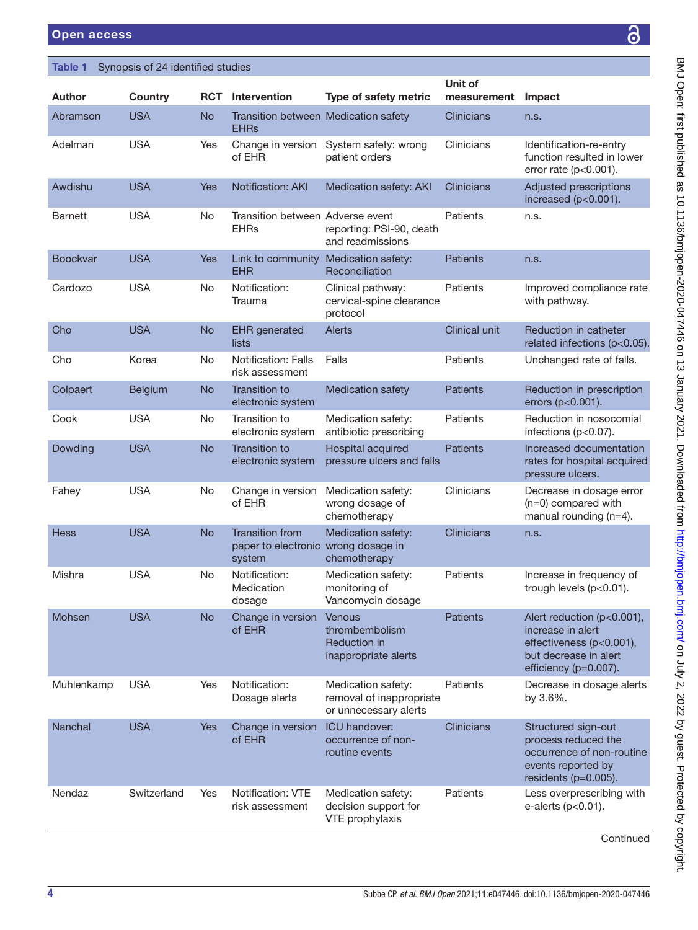G

| <b>Impact</b>                                                                                                         |                                                                                       |
|-----------------------------------------------------------------------------------------------------------------------|---------------------------------------------------------------------------------------|
| n.s.                                                                                                                  |                                                                                       |
| Identification-re-entry<br>function resulted in lower<br>error rate ( $p<0.001$ ).                                    |                                                                                       |
| Adjusted prescriptions<br>increased (p<0.001).                                                                        |                                                                                       |
| n.s.                                                                                                                  |                                                                                       |
| n.s.                                                                                                                  |                                                                                       |
| Improved compliance rate<br>with pathway.                                                                             |                                                                                       |
| <b>Reduction in catheter</b><br>related infections (p<0.05).                                                          |                                                                                       |
| Unchanged rate of falls.                                                                                              |                                                                                       |
| Reduction in prescription<br>errors (p<0.001).                                                                        |                                                                                       |
| Reduction in nosocomial<br>infections (p<0.07).                                                                       |                                                                                       |
| Increased documentation<br>rates for hospital acquired<br>pressure ulcers.                                            | こ Open: first published as 10.1136/bmjopen-2020-047446 on 13 January 2021. Downloaded |
| Decrease in dosage error<br>(n=0) compared with<br>manual rounding (n=4).                                             |                                                                                       |
| n.s.                                                                                                                  |                                                                                       |
| Increase in frequency of<br>trough levels (p<0.01).                                                                   |                                                                                       |
| Alert reduction (p<0.001),<br>increase in alert                                                                       |                                                                                       |
| effectiveness (p<0.001),<br>but decrease in alert<br>efficiency (p=0.007).                                            |                                                                                       |
| Decrease in dosage alerts<br>by 3.6%.                                                                                 |                                                                                       |
| Structured sign-out<br>process reduced the<br>occurrence of non-routine<br>events reported by<br>residents (p=0.005). | ben.bmj.com/ on July 2, 2022 by guest. Protected by copyrig                           |
| Less overprescribing with<br>e-alerts (p<0.01).                                                                       |                                                                                       |
| Continued                                                                                                             |                                                                                       |

<span id="page-3-0"></span>

| Synopsis of 24 identified studies<br>Table 1 |             |            |                                                                         |                                                                         |                        |                                                                                                                               |
|----------------------------------------------|-------------|------------|-------------------------------------------------------------------------|-------------------------------------------------------------------------|------------------------|-------------------------------------------------------------------------------------------------------------------------------|
| <b>Author</b>                                | Country     | <b>RCT</b> | Intervention                                                            | Type of safety metric                                                   | Unit of<br>measurement | Impact                                                                                                                        |
| Abramson                                     | <b>USA</b>  | <b>No</b>  | Transition between Medication safety<br><b>EHRs</b>                     |                                                                         | <b>Clinicians</b>      | n.s.                                                                                                                          |
| Adelman                                      | <b>USA</b>  | Yes        | Change in version<br>of EHR                                             | System safety: wrong<br>patient orders                                  | Clinicians             | Identification-re-entry<br>function resulted in lower<br>error rate ( $p<0.001$ ).                                            |
| Awdishu                                      | <b>USA</b>  | <b>Yes</b> | Notification: AKI                                                       | Medication safety: AKI                                                  | Clinicians             | Adjusted prescriptions<br>increased $(p<0.001)$ .                                                                             |
| Barnett                                      | <b>USA</b>  | No         | Transition between Adverse event<br><b>EHRs</b>                         | reporting: PSI-90, death<br>and readmissions                            | Patients               | n.s.                                                                                                                          |
| <b>Boockvar</b>                              | <b>USA</b>  | <b>Yes</b> | Link to community<br><b>EHR</b>                                         | Medication safety:<br>Reconciliation                                    | <b>Patients</b>        | n.s.                                                                                                                          |
| Cardozo                                      | <b>USA</b>  | No         | Notification:<br>Trauma                                                 | Clinical pathway:<br>cervical-spine clearance<br>protocol               | Patients               | Improved compliance rate<br>with pathway.                                                                                     |
| Cho                                          | <b>USA</b>  | <b>No</b>  | <b>EHR</b> generated<br>lists                                           | Alerts                                                                  | <b>Clinical unit</b>   | Reduction in catheter<br>related infections (p<0.05).                                                                         |
| Cho                                          | Korea       | No         | <b>Notification: Falls</b><br>risk assessment                           | Falls                                                                   | Patients               | Unchanged rate of falls.                                                                                                      |
| Colpaert                                     | Belgium     | <b>No</b>  | Transition to<br>electronic system                                      | <b>Medication safety</b>                                                | <b>Patients</b>        | Reduction in prescription<br>errors (p<0.001).                                                                                |
| Cook                                         | <b>USA</b>  | No         | Transition to<br>electronic system                                      | Medication safety:<br>antibiotic prescribing                            | Patients               | Reduction in nosocomial<br>infections (p<0.07).                                                                               |
| Dowding                                      | <b>USA</b>  | <b>No</b>  | Transition to<br>electronic system                                      | Hospital acquired<br>pressure ulcers and falls                          | <b>Patients</b>        | Increased documentation<br>rates for hospital acquired<br>pressure ulcers.                                                    |
| Fahey                                        | <b>USA</b>  | No         | Change in version<br>of EHR                                             | Medication safety:<br>wrong dosage of<br>chemotherapy                   | Clinicians             | Decrease in dosage error<br>$(n=0)$ compared with<br>manual rounding $(n=4)$ .                                                |
| <b>Hess</b>                                  | <b>USA</b>  | <b>No</b>  | <b>Transition from</b><br>paper to electronic wrong dosage in<br>system | Medication safety:<br>chemotherapy                                      | Clinicians             | n.s.                                                                                                                          |
| Mishra                                       | <b>USA</b>  | No         | Notification:<br>Medication<br>dosage                                   | Medication safety:<br>monitoring of<br>Vancomycin dosage                | Patients               | Increase in frequency of<br>trough levels (p<0.01).                                                                           |
| Mohsen                                       | <b>USA</b>  | <b>No</b>  | Change in version<br>of EHR                                             | Venous<br>thrombembolism<br>Reduction in<br>inappropriate alerts        | <b>Patients</b>        | Alert reduction (p<0.001),<br>increase in alert<br>effectiveness (p<0.001),<br>but decrease in alert<br>efficiency (p=0.007). |
| Muhlenkamp                                   | <b>USA</b>  | Yes        | Notification:<br>Dosage alerts                                          | Medication safety:<br>removal of inappropriate<br>or unnecessary alerts | Patients               | Decrease in dosage alerts<br>by 3.6%.                                                                                         |
| <b>Nanchal</b>                               | <b>USA</b>  | <b>Yes</b> | Change in version<br>of EHR                                             | <b>ICU</b> handover:<br>occurrence of non-<br>routine events            | Clinicians             | Structured sign-out<br>process reduced the<br>occurrence of non-routine<br>events reported by<br>residents $(p=0.005)$ .      |
| Nendaz                                       | Switzerland | Yes        | Notification: VTE<br>risk assessment                                    | Medication safety:<br>decision support for<br>VTE prophylaxis           | Patients               | Less overprescribing with<br>e-alerts $(p<0.01)$ .                                                                            |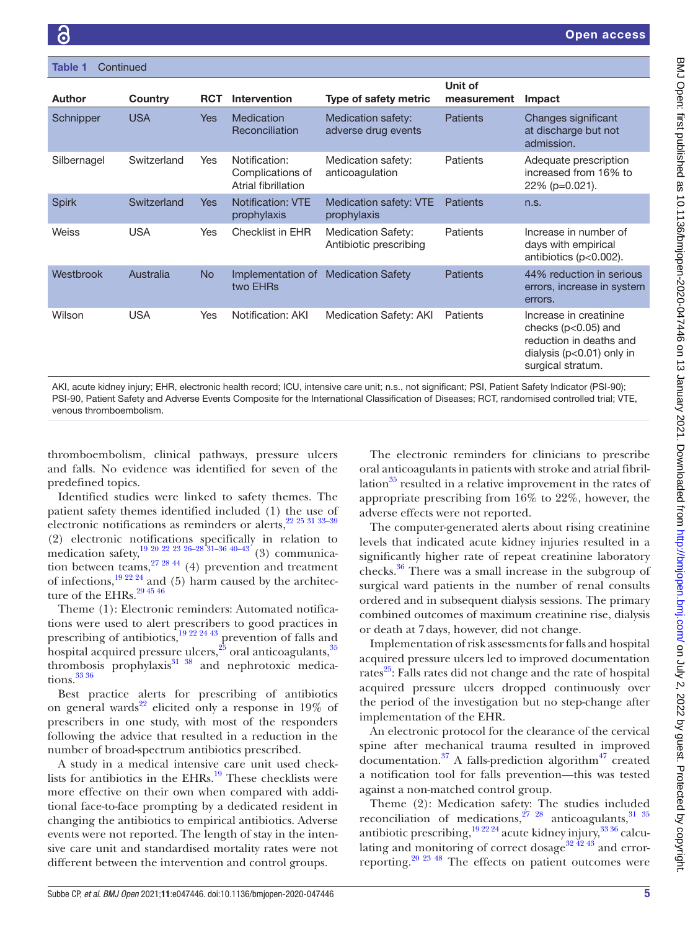| Continued<br>Table 1 |             |            |                                                          |                                                     |                        |                                                                                                                                    |
|----------------------|-------------|------------|----------------------------------------------------------|-----------------------------------------------------|------------------------|------------------------------------------------------------------------------------------------------------------------------------|
| <b>Author</b>        | Country     | <b>RCT</b> | <b>Intervention</b>                                      | Type of safety metric                               | Unit of<br>measurement | Impact                                                                                                                             |
| Schnipper            | <b>USA</b>  | <b>Yes</b> | Medication<br>Reconciliation                             | Medication safety:<br>adverse drug events           | <b>Patients</b>        | Changes significant<br>at discharge but not<br>admission.                                                                          |
| Silbernagel          | Switzerland | Yes        | Notification:<br>Complications of<br>Atrial fibrillation | Medication safety:<br>anticoagulation               | Patients               | Adequate prescription<br>increased from 16% to<br>$22\%$ (p=0.021).                                                                |
| <b>Spirk</b>         | Switzerland | <b>Yes</b> | <b>Notification: VTE</b><br>prophylaxis                  | Medication safety: VTE<br>prophylaxis               | <b>Patients</b>        | n.s.                                                                                                                               |
| Weiss                | <b>USA</b>  | Yes        | <b>Checklist in EHR</b>                                  | <b>Medication Safety:</b><br>Antibiotic prescribing | Patients               | Increase in number of<br>days with empirical<br>antibiotics ( $p<0.002$ ).                                                         |
| Westbrook            | Australia   | <b>No</b>  | Implementation of<br>two EHRs                            | <b>Medication Safety</b>                            | <b>Patients</b>        | 44% reduction in serious<br>errors, increase in system<br>errors.                                                                  |
| Wilson               | <b>USA</b>  | Yes        | Notification: AKI                                        | Medication Safety: AKI                              | Patients               | Increase in creatinine<br>checks ( $p<0.05$ ) and<br>reduction in deaths and<br>dialysis ( $p<0.01$ ) only in<br>surgical stratum. |

AKI, acute kidney injury; EHR, electronic health record; ICU, intensive care unit; n.s., not significant; PSI, Patient Safety Indicator (PSI-90); PSI-90, Patient Safety and Adverse Events Composite for the International Classification of Diseases; RCT, randomised controlled trial; VTE, venous thromboembolism.

thromboembolism, clinical pathways, pressure ulcers and falls. No evidence was identified for seven of the predefined topics.

Identified studies were linked to safety themes. The patient safety themes identified included (1) the use of electronic notifications as reminders or alerts,<sup>22 25 31 33-39</sup> (2) electronic notifications specifically in relation to medication safety,  $^{19}$   $^{20}$   $^{22}$   $^{23}$   $^{26-28}$   $^{31-36}$   $^{40-43}$   $(3)$  communication between teams,  $27\frac{2844}{4}$  (4) prevention and treatment of infections, $19^{22\cdot24}$  and (5) harm caused by the architecture of the EHRs.  $29\,45\,46$ 

Theme (1): Electronic reminders: Automated notifications were used to alert prescribers to good practices in prescribing of antibiotics,<sup>[19 22 24 43](#page-8-18)</sup> prevention of falls and hospital acquired pressure ulcers, $^{25}$  $^{25}$  $^{25}$  oral anticoagulants, $^{35}$ thrombosis prophylaxis $31 \frac{38}{10}$  and nephrotoxic medications. $3336$ 

Best practice alerts for prescribing of antibiotics on general wards<sup>22</sup> elicited only a response in 19% of prescribers in one study, with most of the responders following the advice that resulted in a reduction in the number of broad-spectrum antibiotics prescribed.

A study in a medical intensive care unit used checklists for antibiotics in the  $EHRs$ .<sup>19</sup> These checklists were more effective on their own when compared with additional face-to-face prompting by a dedicated resident in changing the antibiotics to empirical antibiotics. Adverse events were not reported. The length of stay in the intensive care unit and standardised mortality rates were not different between the intervention and control groups.

The electronic reminders for clinicians to prescribe oral anticoagulants in patients with stroke and atrial fibrillation<sup>35</sup> resulted in a relative improvement in the rates of appropriate prescribing from 16% to 22%, however, the adverse effects were not reported.

The computer-generated alerts about rising creatinine levels that indicated acute kidney injuries resulted in a significantly higher rate of repeat creatinine laboratory checks[.36](#page-9-11) There was a small increase in the subgroup of surgical ward patients in the number of renal consults ordered and in subsequent dialysis sessions. The primary combined outcomes of maximum creatinine rise, dialysis or death at 7days, however, did not change.

Implementation of risk assessments for falls and hospital acquired pressure ulcers led to improved documentation rates $^{25}$ : Falls rates did not change and the rate of hospital acquired pressure ulcers dropped continuously over the period of the investigation but no step-change after implementation of the EHR.

An electronic protocol for the clearance of the cervical spine after mechanical trauma resulted in improved documentation.<sup>37</sup> A falls-prediction algorithm<sup>47</sup> created a notification tool for falls prevention—this was tested against a non-matched control group.

Theme (2): Medication safety: The studies included reconciliation of medications,  $2^{7}$   $28$  anticoagulants,  $31$   $35$ antibiotic prescribing,  $19\frac{22\frac{24}{3}}{2}$  acute kidney injury,  $33\frac{36}{3}$  calcu-lating and monitoring of correct dosage<sup>[32 42 43](#page-9-14)</sup> and errorreporting.<sup>20 23 48</sup> The effects on patient outcomes were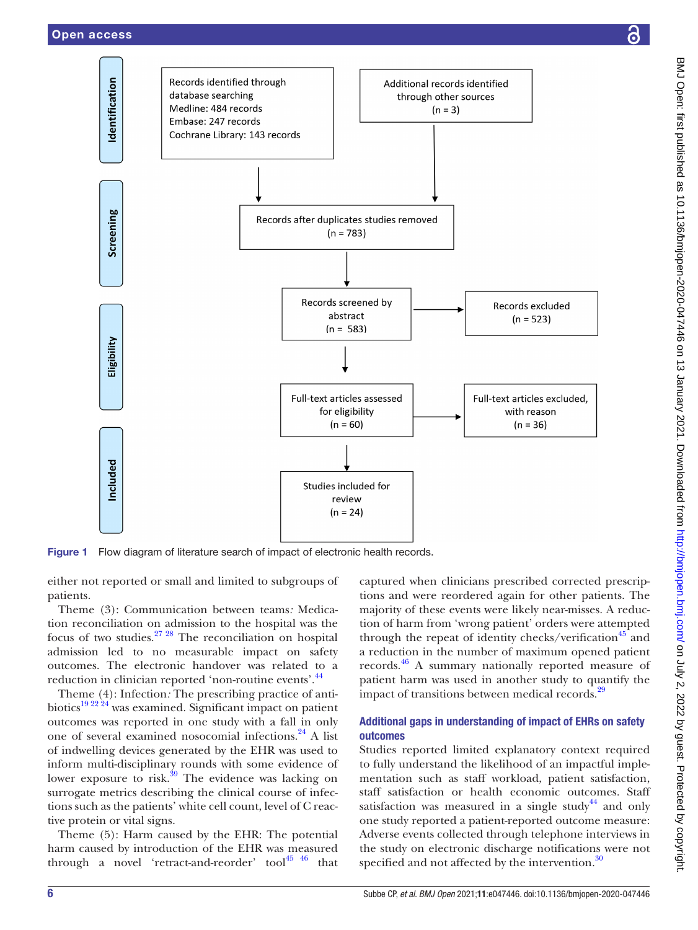dentification

Screening

Eligibility

<span id="page-5-0"></span>Included



Figure 1 Flow diagram of literature search of impact of electronic health records.

Records identified through

Cochrane Library: 143 records

database searching

Medline: 484 records

Embase: 247 records

either not reported or small and limited to subgroups of patients.

Theme (3): Communication between teams*:* Medication reconciliation on admission to the hospital was the focus of two studies. $27 \frac{28}{10}$  The reconciliation on hospital admission led to no measurable impact on safety outcomes. The electronic handover was related to a reduction in clinician reported 'non-routine events'.<sup>[44](#page-9-15)</sup>

Theme (4): Infection*:* The prescribing practice of antibiotics<sup>19 22 24</sup> was examined. Significant impact on patient outcomes was reported in one study with a fall in only one of several examined nosocomial infections[.24](#page-9-6) A list of indwelling devices generated by the EHR was used to inform multi-disciplinary rounds with some evidence of lower exposure to risk. $\frac{39}{9}$  The evidence was lacking on surrogate metrics describing the clinical course of infections such as the patients' white cell count, level of C reactive protein or vital signs.

Theme (5): Harm caused by the EHR: The potential harm caused by introduction of the EHR was measured through a novel 'retract-and-reorder' tool $45\frac{46}{10}$  that

captured when clinicians prescribed corrected prescriptions and were reordered again for other patients. The majority of these events were likely near-misses. A reduction of harm from 'wrong patient' orders were attempted through the repeat of identity checks/verification<sup>45</sup> and a reduction in the number of maximum opened patient records.[46](#page-9-18) A summary nationally reported measure of patient harm was used in another study to quantify the impact of transitions between medical records.<sup>[29](#page-9-5)</sup>

#### Additional gaps in understanding of impact of EHRs on safety outcomes

Studies reported limited explanatory context required to fully understand the likelihood of an impactful implementation such as staff workload, patient satisfaction, staff satisfaction or health economic outcomes. Staff satisfaction was measured in a single study<sup>44</sup> and only one study reported a patient-reported outcome measure: Adverse events collected through telephone interviews in the study on electronic discharge notifications were not specified and not affected by the intervention. $30$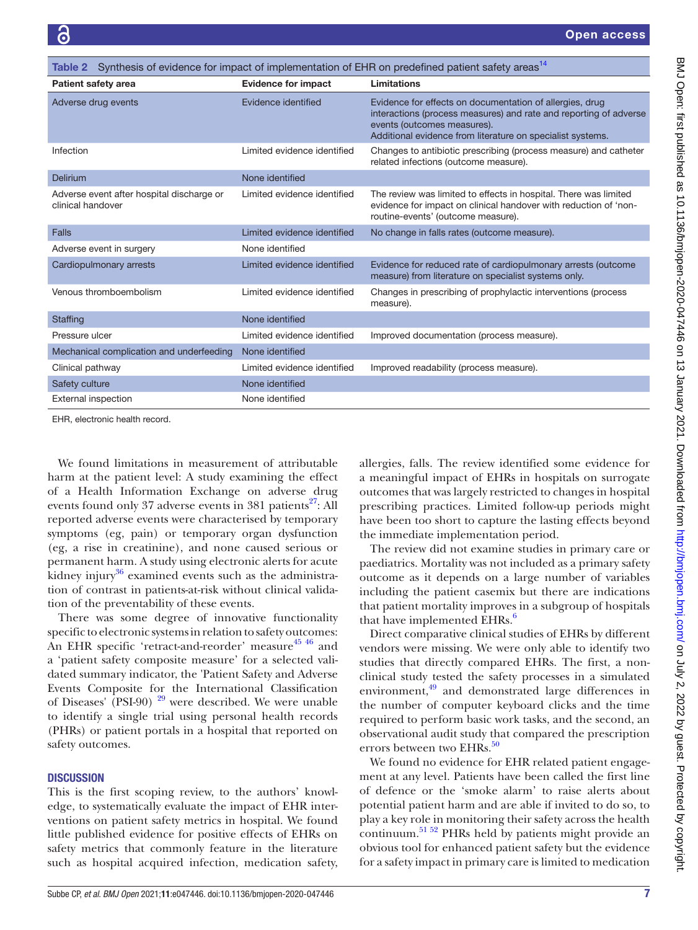<span id="page-6-0"></span>

| Synthesis of evidence for impact of implementation of EHR on predefined patient safety areas <sup>14</sup><br>Table 2 |                             |                                                                                                                                                                                                                            |  |
|-----------------------------------------------------------------------------------------------------------------------|-----------------------------|----------------------------------------------------------------------------------------------------------------------------------------------------------------------------------------------------------------------------|--|
| <b>Patient safety area</b>                                                                                            | <b>Evidence for impact</b>  | Limitations                                                                                                                                                                                                                |  |
| Adverse drug events                                                                                                   | Evidence identified         | Evidence for effects on documentation of allergies, drug<br>interactions (process measures) and rate and reporting of adverse<br>events (outcomes measures).<br>Additional evidence from literature on specialist systems. |  |
| Infection                                                                                                             | Limited evidence identified | Changes to antibiotic prescribing (process measure) and catheter<br>related infections (outcome measure).                                                                                                                  |  |
| Delirium                                                                                                              | None identified             |                                                                                                                                                                                                                            |  |
| Adverse event after hospital discharge or<br>clinical handover                                                        | Limited evidence identified | The review was limited to effects in hospital. There was limited<br>evidence for impact on clinical handover with reduction of 'non-<br>routine-events' (outcome measure).                                                 |  |
| Falls                                                                                                                 | Limited evidence identified | No change in falls rates (outcome measure).                                                                                                                                                                                |  |
| Adverse event in surgery                                                                                              | None identified             |                                                                                                                                                                                                                            |  |
| Cardiopulmonary arrests                                                                                               | Limited evidence identified | Evidence for reduced rate of cardiopulmonary arrests (outcome<br>measure) from literature on specialist systems only.                                                                                                      |  |
| Venous thromboembolism                                                                                                | Limited evidence identified | Changes in prescribing of prophylactic interventions (process<br>measure).                                                                                                                                                 |  |
| Staffing                                                                                                              | None identified             |                                                                                                                                                                                                                            |  |
| Pressure ulcer                                                                                                        | Limited evidence identified | Improved documentation (process measure).                                                                                                                                                                                  |  |
| Mechanical complication and underfeeding                                                                              | None identified             |                                                                                                                                                                                                                            |  |
| Clinical pathway                                                                                                      | Limited evidence identified | Improved readability (process measure).                                                                                                                                                                                    |  |
| Safety culture                                                                                                        | None identified             |                                                                                                                                                                                                                            |  |
| <b>External inspection</b>                                                                                            | None identified             |                                                                                                                                                                                                                            |  |
|                                                                                                                       |                             |                                                                                                                                                                                                                            |  |

EHR, electronic health record.

We found limitations in measurement of attributable harm at the patient level: A study examining the effect of a Health Information Exchange on adverse drug events found only 37 adverse events in 381 patients<sup>27</sup>: All reported adverse events were characterised by temporary symptoms (eg, pain) or temporary organ dysfunction (eg, a rise in creatinine), and none caused serious or permanent harm. A study using electronic alerts for acute kidney injury $36$  examined events such as the administration of contrast in patients-at-risk without clinical validation of the preventability of these events.

There was some degree of innovative functionality specific to electronic systems in relation to safety outcomes: An EHR specific 'retract-and-reorder' measure<sup>[45 46](#page-9-17)</sup> and a 'patient safety composite measure' for a selected validated summary indicator, the 'Patient Safety and Adverse Events Composite for the International Classification of Diseases' (PSI-90)  $^{29}$  $^{29}$  $^{29}$  were described. We were unable to identify a single trial using personal health records (PHRs) or patient portals in a hospital that reported on safety outcomes.

#### **DISCUSSION**

This is the first scoping review, to the authors' knowledge, to systematically evaluate the impact of EHR interventions on patient safety metrics in hospital. We found little published evidence for positive effects of EHRs on safety metrics that commonly feature in the literature such as hospital acquired infection, medication safety,

allergies, falls. The review identified some evidence for a meaningful impact of EHRs in hospitals on surrogate outcomes that was largely restricted to changes in hospital prescribing practices. Limited follow-up periods might have been too short to capture the lasting effects beyond the immediate implementation period.

The review did not examine studies in primary care or paediatrics. Mortality was not included as a primary safety outcome as it depends on a large number of variables including the patient casemix but there are indications that patient mortality improves in a subgroup of hospitals that have implemented EHRs. $\frac{6}{5}$  $\frac{6}{5}$  $\frac{6}{5}$ 

Direct comparative clinical studies of EHRs by different vendors were missing. We were only able to identify two studies that directly compared EHRs. The first, a nonclinical study tested the safety processes in a simulated environment, $49$  and demonstrated large differences in the number of computer keyboard clicks and the time required to perform basic work tasks, and the second, an observational audit study that compared the prescription errors between two EHRs.<sup>50</sup>

We found no evidence for EHR related patient engagement at any level. Patients have been called the first line of defence or the 'smoke alarm' to raise alerts about potential patient harm and are able if invited to do so, to play a key role in monitoring their safety across the health continuum.<sup>51 52</sup> PHRs held by patients might provide an obvious tool for enhanced patient safety but the evidence for a safety impact in primary care is limited to medication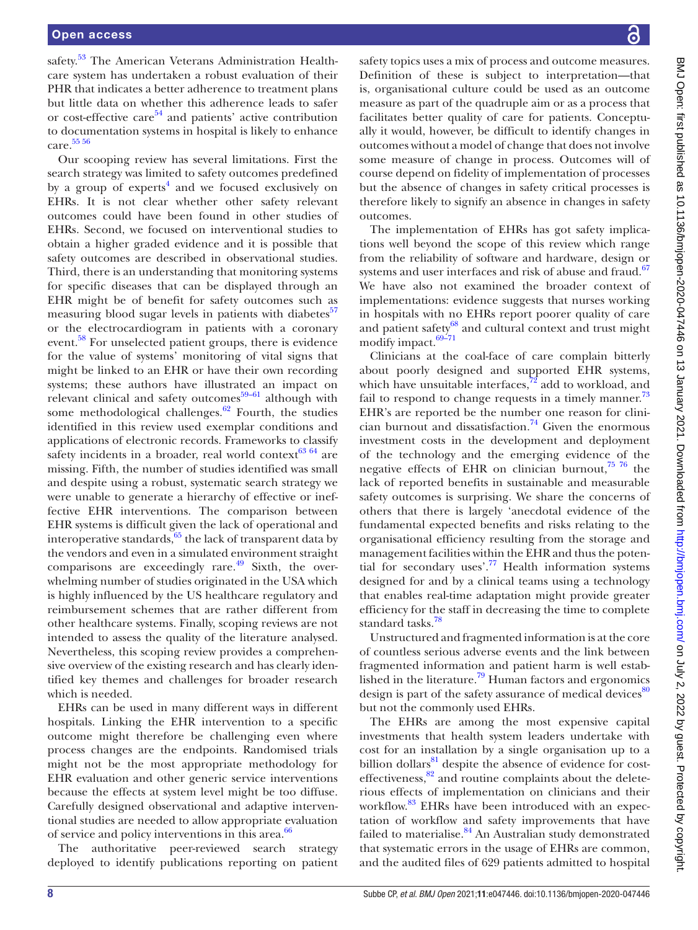safety.<sup>53</sup> The American Veterans Administration Healthcare system has undertaken a robust evaluation of their PHR that indicates a better adherence to treatment plans but little data on whether this adherence leads to safer or cost-effective care $54$  and patients' active contribution to documentation systems in hospital is likely to enhance care. [55 56](#page-9-25)

Our scooping review has several limitations. First the search strategy was limited to safety outcomes predefined by a group of experts<sup>4</sup> and we focused exclusively on EHRs. It is not clear whether other safety relevant outcomes could have been found in other studies of EHRs. Second, we focused on interventional studies to obtain a higher graded evidence and it is possible that safety outcomes are described in observational studies. Third, there is an understanding that monitoring systems for specific diseases that can be displayed through an EHR might be of benefit for safety outcomes such as measuring blood sugar levels in patients with diabetes $57$ or the electrocardiogram in patients with a coronary event.<sup>[58](#page-9-27)</sup> For unselected patient groups, there is evidence for the value of systems' monitoring of vital signs that might be linked to an EHR or have their own recording systems; these authors have illustrated an impact on relevant clinical and safety outcomes $59-61$  although with some methodological challenges. $62$  Fourth, the studies identified in this review used exemplar conditions and applications of electronic records. Frameworks to classify safety incidents in a broader, real world context $^{63}$  64 are missing. Fifth, the number of studies identified was small and despite using a robust, systematic search strategy we were unable to generate a hierarchy of effective or ineffective EHR interventions. The comparison between EHR systems is difficult given the lack of operational and interoperative standards, $65$  the lack of transparent data by the vendors and even in a simulated environment straight comparisons are exceedingly rare. $\frac{49}{9}$  $\frac{49}{9}$  $\frac{49}{9}$  Sixth, the overwhelming number of studies originated in the USA which is highly influenced by the US healthcare regulatory and reimbursement schemes that are rather different from other healthcare systems. Finally, scoping reviews are not intended to assess the quality of the literature analysed. Nevertheless, this scoping review provides a comprehensive overview of the existing research and has clearly identified key themes and challenges for broader research which is needed.

EHRs can be used in many different ways in different hospitals. Linking the EHR intervention to a specific outcome might therefore be challenging even where process changes are the endpoints. Randomised trials might not be the most appropriate methodology for EHR evaluation and other generic service interventions because the effects at system level might be too diffuse. Carefully designed observational and adaptive interventional studies are needed to allow appropriate evaluation of service and policy interventions in this area.<sup>[66](#page-9-32)</sup>

The authoritative peer-reviewed search strategy deployed to identify publications reporting on patient safety topics uses a mix of process and outcome measures. Definition of these is subject to interpretation—that is, organisational culture could be used as an outcome measure as part of the quadruple aim or as a process that facilitates better quality of care for patients. Conceptually it would, however, be difficult to identify changes in outcomes without a model of change that does not involve some measure of change in process. Outcomes will of course depend on fidelity of implementation of processes but the absence of changes in safety critical processes is therefore likely to signify an absence in changes in safety outcomes.

The implementation of EHRs has got safety implications well beyond the scope of this review which range from the reliability of software and hardware, design or systems and user interfaces and risk of abuse and fraud.<sup>[67](#page-9-33)</sup> We have also not examined the broader context of implementations: evidence suggests that nurses working in hospitals with no EHRs report poorer quality of care and patient safety<sup>[68](#page-10-0)</sup> and cultural context and trust might modify impact.<sup>69-71</sup>

Clinicians at the coal-face of care complain bitterly about poorly designed and supported EHR systems, which have unsuitable interfaces, $^{72}$  add to workload, and fail to respond to change requests in a timely manner.<sup>[73](#page-10-3)</sup> EHR's are reported be the number one reason for clinician burnout and dissatisfaction.<sup>74</sup> Given the enormous investment costs in the development and deployment of the technology and the emerging evidence of the negative effects of EHR on clinician burnout, $7576$  the lack of reported benefits in sustainable and measurable safety outcomes is surprising. We share the concerns of others that there is largely 'anecdotal evidence of the fundamental expected benefits and risks relating to the organisational efficiency resulting from the storage and management facilities within the EHR and thus the potential for secondary uses'.<sup>77</sup> Health information systems designed for and by a clinical teams using a technology that enables real-time adaptation might provide greater efficiency for the staff in decreasing the time to complete standard tasks.<sup>78</sup>

Unstructured and fragmented information is at the core of countless serious adverse events and the link between fragmented information and patient harm is well established in the literature.<sup>79</sup> Human factors and ergonomics design is part of the safety assurance of medical devices<sup>[80](#page-10-9)</sup> but not the commonly used EHRs.

The EHRs are among the most expensive capital investments that health system leaders undertake with cost for an installation by a single organisation up to a billion dollars<sup>81</sup> despite the absence of evidence for costeffectiveness, $82$  and routine complaints about the deleterious effects of implementation on clinicians and their workflow.<sup>83</sup> EHRs have been introduced with an expectation of workflow and safety improvements that have failed to materialise. $84$  An Australian study demonstrated that systematic errors in the usage of EHRs are common, and the audited files of 629 patients admitted to hospital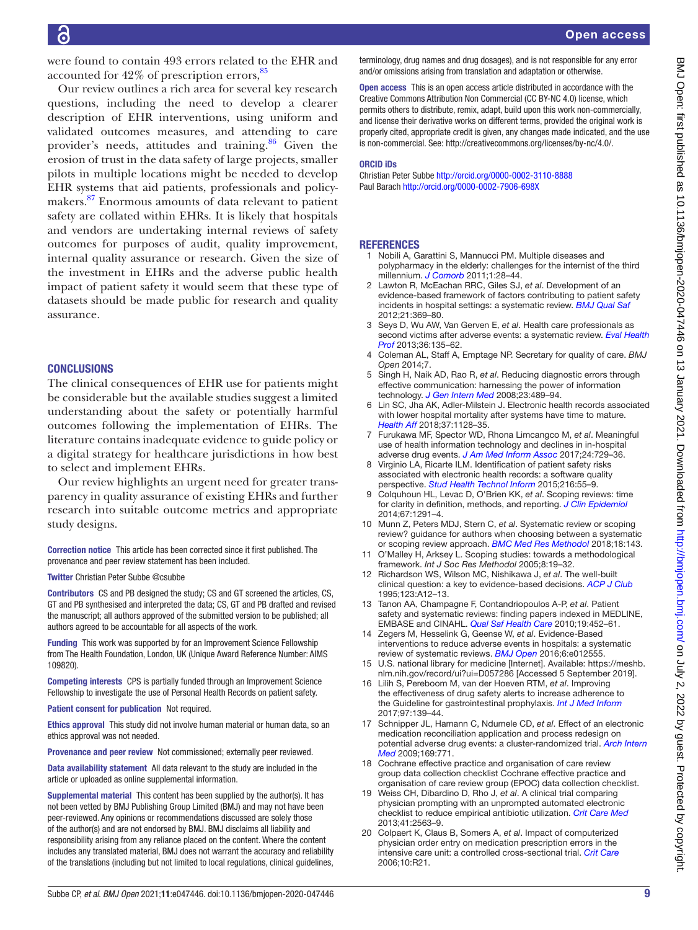were found to contain 493 errors related to the EHR and accounted for  $42\%$  of prescription errors,  $85$ 

Our review outlines a rich area for several key research questions, including the need to develop a clearer description of EHR interventions, using uniform and validated outcomes measures, and attending to care provider's needs, attitudes and training.<sup>86</sup> Given the erosion of trust in the data safety of large projects, smaller pilots in multiple locations might be needed to develop EHR systems that aid patients, professionals and policymakers.<sup>87</sup> Enormous amounts of data relevant to patient safety are collated within EHRs. It is likely that hospitals and vendors are undertaking internal reviews of safety outcomes for purposes of audit, quality improvement, internal quality assurance or research. Given the size of the investment in EHRs and the adverse public health impact of patient safety it would seem that these type of datasets should be made public for research and quality assurance.

#### **CONCLUSIONS**

The clinical consequences of EHR use for patients might be considerable but the available studies suggest a limited understanding about the safety or potentially harmful outcomes following the implementation of EHRs. The literature contains inadequate evidence to guide policy or a digital strategy for healthcare jurisdictions in how best to select and implement EHRs.

Our review highlights an urgent need for greater transparency in quality assurance of existing EHRs and further research into suitable outcome metrics and appropriate study designs.

Correction notice This article has been corrected since it first published. The provenance and peer review statement has been included.

Twitter Christian Peter Subbe [@csubbe](https://twitter.com/csubbe)

Contributors CS and PB designed the study; CS and GT screened the articles, CS, GT and PB synthesised and interpreted the data; CS, GT and PB drafted and revised the manuscript; all authors approved of the submitted version to be published; all authors agreed to be accountable for all aspects of the work.

Funding This work was supported by for an Improvement Science Fellowship from The Health Foundation, London, UK (Unique Award Reference Number: AIMS 109820).

Competing interests CPS is partially funded through an Improvement Science Fellowship to investigate the use of Personal Health Records on patient safety.

Patient consent for publication Not required.

Ethics approval This study did not involve human material or human data, so an ethics approval was not needed.

Provenance and peer review Not commissioned; externally peer reviewed.

Data availability statement All data relevant to the study are included in the article or uploaded as online supplemental information.

Supplemental material This content has been supplied by the author(s). It has not been vetted by BMJ Publishing Group Limited (BMJ) and may not have been peer-reviewed. Any opinions or recommendations discussed are solely those of the author(s) and are not endorsed by BMJ. BMJ disclaims all liability and responsibility arising from any reliance placed on the content. Where the content includes any translated material, BMJ does not warrant the accuracy and reliability of the translations (including but not limited to local regulations, clinical guidelines,

terminology, drug names and drug dosages), and is not responsible for any error and/or omissions arising from translation and adaptation or otherwise.

Open access This is an open access article distributed in accordance with the Creative Commons Attribution Non Commercial (CC BY-NC 4.0) license, which permits others to distribute, remix, adapt, build upon this work non-commercially, and license their derivative works on different terms, provided the original work is properly cited, appropriate credit is given, any changes made indicated, and the use is non-commercial. See: [http://creativecommons.org/licenses/by-nc/4.0/.](http://creativecommons.org/licenses/by-nc/4.0/)

#### ORCID iDs

Christian Peter Subbe <http://orcid.org/0000-0002-3110-8888> Paul Barach<http://orcid.org/0000-0002-7906-698X>

#### **REFERENCES**

- <span id="page-8-0"></span>1 Nobili A, Garattini S, Mannucci PM. Multiple diseases and polypharmacy in the elderly: challenges for the internist of the third millennium. *[J Comorb](http://dx.doi.org/10.15256/joc.2011.1.4)* 2011;1:28–44.
- <span id="page-8-1"></span>2 Lawton R, McEachan RRC, Giles SJ, *et al*. Development of an evidence-based framework of factors contributing to patient safety incidents in hospital settings: a systematic review. *[BMJ Qual Saf](http://dx.doi.org/10.1136/bmjqs-2011-000443)* 2012;21:369–80.
- <span id="page-8-2"></span>3 Seys D, Wu AW, Van Gerven E, *et al*. Health care professionals as second victims after adverse events: a systematic review. *[Eval Health](http://dx.doi.org/10.1177/0163278712458918)  [Prof](http://dx.doi.org/10.1177/0163278712458918)* 2013;36:135–62.
- <span id="page-8-3"></span>4 Coleman AL, Staff A, Emptage NP. Secretary for quality of care. *BMJ Open* 2014;7.
- <span id="page-8-4"></span>5 Singh H, Naik AD, Rao R, *et al*. Reducing diagnostic errors through effective communication: harnessing the power of information technology. *[J Gen Intern Med](http://dx.doi.org/10.1007/s11606-007-0393-z)* 2008;23:489-94.
- <span id="page-8-5"></span>6 Lin SC, Jha AK, Adler-Milstein J. Electronic health records associated with lower hospital mortality after systems have time to mature. *[Health Aff](http://dx.doi.org/10.1377/hlthaff.2017.1658)* 2018;37:1128–35.
- <span id="page-8-6"></span>7 Furukawa MF, Spector WD, Rhona Limcangco M, *et al*. Meaningful use of health information technology and declines in in-hospital adverse drug events. *[J Am Med Inform Assoc](http://dx.doi.org/10.1093/jamia/ocw183)* 2017;24:729–36.
- <span id="page-8-7"></span>Virginio LA, Ricarte ILM. Identification of patient safety risks associated with electronic health records: a software quality perspective. *[Stud Health Technol Inform](http://www.ncbi.nlm.nih.gov/pubmed/26262009)* 2015;216:55–9.
- <span id="page-8-8"></span>9 Colquhoun HL, Levac D, O'Brien KK, *et al*. Scoping reviews: time for clarity in definition, methods, and reporting. *[J Clin Epidemiol](http://dx.doi.org/10.1016/j.jclinepi.2014.03.013)* 2014;67:1291–4.
- <span id="page-8-9"></span>10 Munn Z, Peters MDJ, Stern C, *et al*. Systematic review or scoping review? guidance for authors when choosing between a systematic or scoping review approach. *[BMC Med Res Methodol](http://dx.doi.org/10.1186/s12874-018-0611-x)* 2018;18:143.
- <span id="page-8-10"></span>0'Malley H, Arksey L. Scoping studies: towards a methodological framework. *Int J Soc Res Methodol* 2005;8:19–32.
- <span id="page-8-11"></span>12 Richardson WS, Wilson MC, Nishikawa J, *et al*. The well-built clinical question: a key to evidence-based decisions. *[ACP J Club](http://www.ncbi.nlm.nih.gov/pubmed/7582737)* 1995;123:A12–13.
- <span id="page-8-12"></span>13 Tanon AA, Champagne F, Contandriopoulos A-P, *et al*. Patient safety and systematic reviews: finding papers indexed in MEDLINE, EMBASE and CINAHL. *[Qual Saf Health Care](http://dx.doi.org/10.1136/qshc.2008.031401)* 2010;19:452–61.
- <span id="page-8-13"></span>14 Zegers M, Hesselink G, Geense W, *et al*. Evidence-Based interventions to reduce adverse events in hospitals: a systematic review of systematic reviews. *[BMJ Open](http://dx.doi.org/10.1136/bmjopen-2016-012555)* 2016;6:e012555.
- <span id="page-8-14"></span>15 U.S. national library for medicine [Internet]. Available: [https://meshb.](https://meshb.nlm.nih.gov/record/ui?ui=D057286) [nlm.nih.gov/record/ui?ui=D057286](https://meshb.nlm.nih.gov/record/ui?ui=D057286) [Accessed 5 September 2019].
- <span id="page-8-15"></span>16 Lilih S, Pereboom M, van der Hoeven RTM, *et al*. Improving the effectiveness of drug safety alerts to increase adherence to the Guideline for gastrointestinal prophylaxis. *[Int J Med Inform](http://dx.doi.org/10.1016/j.ijmedinf.2016.10.002)* 2017;97:139–44.
- <span id="page-8-16"></span>17 Schnipper JL, Hamann C, Ndumele CD, *et al*. Effect of an electronic medication reconciliation application and process redesign on potential adverse drug events: a cluster-randomized trial. *[Arch Intern](http://dx.doi.org/10.1001/archinternmed.2009.51)  [Med](http://dx.doi.org/10.1001/archinternmed.2009.51)* 2009;169:771.
- <span id="page-8-17"></span>18 Cochrane effective practice and organisation of care review group data collection checklist Cochrane effective practice and organisation of care review group (EPOC) data collection checklist.
- <span id="page-8-18"></span>19 Weiss CH, Dibardino D, Rho J, *et al*. A clinical trial comparing physician prompting with an unprompted automated electronic checklist to reduce empirical antibiotic utilization. *[Crit Care Med](http://dx.doi.org/10.1097/CCM.0b013e318298291a)* 2013;41:2563–9.
- <span id="page-8-19"></span>20 Colpaert K, Claus B, Somers A, *et al*. Impact of computerized physician order entry on medication prescription errors in the intensive care unit: a controlled cross-sectional trial. *[Crit Care](http://dx.doi.org/10.1186/cc3983)* 2006;10:R21.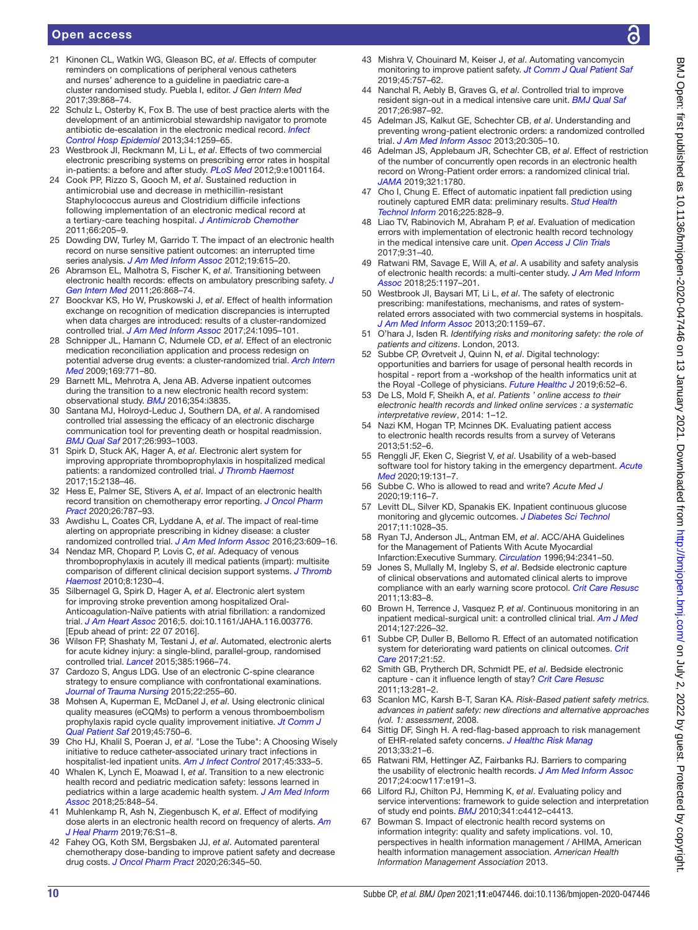- <span id="page-9-0"></span>21 Kinonen CL, Watkin WG, Gleason BC, *et al*. Effects of computer reminders on complications of peripheral venous catheters and nurses' adherence to a guideline in paediatric care-a cluster randomised study. Puebla I, editor. *J Gen Intern Med* 2017;39:868–74.
- <span id="page-9-7"></span>22 Schulz L, Osterby K, Fox B. The use of best practice alerts with the development of an antimicrobial stewardship navigator to promote antibiotic de-escalation in the electronic medical record. *[Infect](http://dx.doi.org/10.1086/673977)  [Control Hosp Epidemiol](http://dx.doi.org/10.1086/673977)* 2013;34:1259–65.
- <span id="page-9-4"></span>23 Westbrook JI, Reckmann M, Li L, *et al*. Effects of two commercial electronic prescribing systems on prescribing error rates in hospital in-patients: a before and after study. *[PLoS Med](http://dx.doi.org/10.1371/journal.pmed.1001164)* 2012;9:e1001164.
- <span id="page-9-6"></span>24 Cook PP, Rizzo S, Gooch M, *et al*. Sustained reduction in antimicrobial use and decrease in methicillin-resistant Staphylococcus aureus and Clostridium difficile infections following implementation of an electronic medical record at a tertiary-care teaching hospital. *[J Antimicrob Chemother](http://dx.doi.org/10.1093/jac/dkq404)* 2011;66:205–9.
- <span id="page-9-1"></span>25 Dowding DW, Turley M, Garrido T. The impact of an electronic health record on nurse sensitive patient outcomes: an interrupted time series analysis. *[J Am Med Inform Assoc](http://dx.doi.org/10.1136/amiajnl-2011-000504)* 2012;19:615–20.
- <span id="page-9-2"></span>26 Abramson EL, Malhotra S, Fischer K, *et al*. Transitioning between electronic health records: effects on ambulatory prescribing safety. *[J](http://dx.doi.org/10.1007/s11606-011-1703-z)  [Gen Intern Med](http://dx.doi.org/10.1007/s11606-011-1703-z)* 2011;26:868–74.
- <span id="page-9-3"></span>27 Boockvar KS, Ho W, Pruskowski J, *et al*. Effect of health information exchange on recognition of medication discrepancies is interrupted when data charges are introduced: results of a cluster-randomized controlled trial. *[J Am Med Inform Assoc](http://dx.doi.org/10.1093/jamia/ocx044)* 2017;24:1095–101.
- 28 Schnipper JL, Hamann C, Ndumele CD, *et al*. Effect of an electronic medication reconciliation application and process redesign on potential adverse drug events: a cluster-randomized trial. *[Arch Intern](http://dx.doi.org/10.1001/archinternmed.2009.51)  [Med](http://dx.doi.org/10.1001/archinternmed.2009.51)* 2009;169:771–80.
- <span id="page-9-5"></span>29 Barnett ML, Mehrotra A, Jena AB. Adverse inpatient outcomes during the transition to a new electronic health record system: observational study. *[BMJ](http://dx.doi.org/10.1136/bmj.i3835)* 2016;354:i3835.
- <span id="page-9-19"></span>30 Santana MJ, Holroyd-Leduc J, Southern DA, *et al*. A randomised controlled trial assessing the efficacy of an electronic discharge communication tool for preventing death or hospital readmission. *[BMJ Qual Saf](http://dx.doi.org/10.1136/bmjqs-2017-006635)* 2017;26:993–1003.
- <span id="page-9-9"></span>31 Spirk D, Stuck AK, Hager A, *et al*. Electronic alert system for improving appropriate thromboprophylaxis in hospitalized medical patients: a randomized controlled trial. *[J Thromb Haemost](http://dx.doi.org/10.1111/jth.13812)* 2017;15:2138–46.
- <span id="page-9-14"></span>32 Hess E, Palmer SE, Stivers A, *et al*. Impact of an electronic health record transition on chemotherapy error reporting. *[J Oncol Pharm](http://dx.doi.org/10.1177/1078155219870590)  [Pract](http://dx.doi.org/10.1177/1078155219870590)* 2020;26:787–93.
- <span id="page-9-10"></span>33 Awdishu L, Coates CR, Lyddane A, *et al*. The impact of real-time alerting on appropriate prescribing in kidney disease: a cluster randomized controlled trial. *[J Am Med Inform Assoc](http://dx.doi.org/10.1093/jamia/ocv159)* 2016;23:609–16.
- 34 Nendaz MR, Chopard P, Lovis C, *et al*. Adequacy of venous thromboprophylaxis in acutely ill medical patients (impart): multisite comparison of different clinical decision support systems. *[J Thromb](http://dx.doi.org/10.1111/j.1538-7836.2010.03817.x)  [Haemost](http://dx.doi.org/10.1111/j.1538-7836.2010.03817.x)* 2010;8:1230–4.
- <span id="page-9-8"></span>35 Silbernagel G, Spirk D, Hager A, *et al*. Electronic alert system for improving stroke prevention among hospitalized Oral-Anticoagulation-Naïve patients with atrial fibrillation: a randomized trial. *[J Am Heart Assoc](http://dx.doi.org/10.1161/JAHA.116.003776)* 2016;5. doi:10.1161/JAHA.116.003776. [Epub ahead of print: 22 07 2016].
- <span id="page-9-11"></span>36 Wilson FP, Shashaty M, Testani J, *et al*. Automated, electronic alerts for acute kidney injury: a single-blind, parallel-group, randomised controlled trial. *[Lancet](http://dx.doi.org/10.1016/S0140-6736(15)60266-5)* 2015;385:1966–74.
- <span id="page-9-12"></span>37 Cardozo S, Angus LDG. Use of an electronic C-spine clearance strategy to ensure compliance with confrontational examinations. *[Journal of Trauma Nursing](http://dx.doi.org/10.1097/JTN.0000000000000150)* 2015;22:255–60.
- 38 Mohsen A, Kuperman E, McDanel J, *et al*. Using electronic clinical quality measures (eCQMs) to perform a venous thromboembolism prophylaxis rapid cycle quality improvement initiative. *[Jt Comm J](http://dx.doi.org/10.1016/j.jcjq.2019.07.011)  [Qual Patient Saf](http://dx.doi.org/10.1016/j.jcjq.2019.07.011)* 2019;45:750–6.
- <span id="page-9-16"></span>39 Cho HJ, Khalil S, Poeran J, *et al*. "Lose the Tube": A Choosing Wisely initiative to reduce catheter-associated urinary tract infections in hospitalist-led inpatient units. *[Am J Infect Control](http://dx.doi.org/10.1016/j.ajic.2016.10.023)* 2017;45:333–5.
- 40 Whalen K, Lynch E, Moawad I, *et al*. Transition to a new electronic health record and pediatric medication safety: lessons learned in pediatrics within a large academic health system. *[J Am Med Inform](http://dx.doi.org/10.1093/jamia/ocy034)  [Assoc](http://dx.doi.org/10.1093/jamia/ocy034)* 2018;25:848–54.
- 41 Muhlenkamp R, Ash N, Ziegenbusch K, *et al*. Effect of modifying dose alerts in an electronic health record on frequency of alerts. *[Am](http://dx.doi.org/10.1093/ajhp/zxy016)  [J Heal Pharm](http://dx.doi.org/10.1093/ajhp/zxy016)* 2019;76:S1–8.
- 42 Fahey OG, Koth SM, Bergsbaken JJ, *et al*. Automated parenteral chemotherapy dose-banding to improve patient safety and decrease drug costs. *[J Oncol Pharm Pract](http://dx.doi.org/10.1177/1078155219846958)* 2020;26:345–50.
- 43 Mishra V, Chouinard M, Keiser J, *et al*. Automating vancomycin monitoring to improve patient safety. *[Jt Comm J Qual Patient Saf](http://dx.doi.org/10.1016/j.jcjq.2019.07.001)* 2019;45:757–62.
- <span id="page-9-15"></span>44 Nanchal R, Aebly B, Graves G, *et al*. Controlled trial to improve resident sign-out in a medical intensive care unit. *[BMJ Qual Saf](http://dx.doi.org/10.1136/bmjqs-2017-006657)* 2017;26:987–92.
- <span id="page-9-17"></span>45 Adelman JS, Kalkut GE, Schechter CB, *et al*. Understanding and preventing wrong-patient electronic orders: a randomized controlled trial. *[J Am Med Inform Assoc](http://dx.doi.org/10.1136/amiajnl-2012-001055)* 2013;20:305–10.
- <span id="page-9-18"></span>46 Adelman JS, Applebaum JR, Schechter CB, *et al*. Effect of restriction of the number of concurrently open records in an electronic health record on Wrong-Patient order errors: a randomized clinical trial. *[JAMA](http://dx.doi.org/10.1001/jama.2019.3698)* 2019;321:1780.
- <span id="page-9-13"></span>47 Cho I, Chung E. Effect of automatic inpatient fall prediction using routinely captured EMR data: preliminary results. *[Stud Health](http://www.ncbi.nlm.nih.gov/pubmed/27332363)  [Technol Inform](http://www.ncbi.nlm.nih.gov/pubmed/27332363)* 2016;225:828–9.
- 48 Liao TV, Rabinovich M, Abraham P, *et al*. Evaluation of medication errors with implementation of electronic health record technology in the medical intensive care unit. *[Open Access J Clin Trials](http://dx.doi.org/10.2147/OAJCT.S131211)* 2017;9:31–40.
- <span id="page-9-20"></span>49 Ratwani RM, Savage E, Will A, *et al*. A usability and safety analysis of electronic health records: a multi-center study. *[J Am Med Inform](http://dx.doi.org/10.1093/jamia/ocy088)  [Assoc](http://dx.doi.org/10.1093/jamia/ocy088)* 2018;25:1197–201.
- <span id="page-9-21"></span>50 Westbrook JI, Baysari MT, Li L, *et al*. The safety of electronic prescribing: manifestations, mechanisms, and rates of systemrelated errors associated with two commercial systems in hospitals. *[J Am Med Inform Assoc](http://dx.doi.org/10.1136/amiajnl-2013-001745)* 2013;20:1159–67.
- <span id="page-9-22"></span>51 O'hara J, Isden R. *Identifying risks and monitoring safety: the role of patients and citizens*. London, 2013.
- 52 Subbe CP, Øvretveit J, Quinn N, *et al*. Digital technology: opportunities and barriers for usage of personal health records in hospital - report from a -workshop of the health informatics unit at the Royal -College of physicians. *[Future Healthc J](http://dx.doi.org/10.7861/futurehosp.6-1-52)* 2019;6:52–6.
- <span id="page-9-23"></span>53 De LS, Mold F, Sheikh A, *et al*. *Patients ' online access to their electronic health records and linked online services : a systematic interpretative review*, 2014: 1–12.
- <span id="page-9-24"></span>54 Nazi KM, Hogan TP, Mcinnes DK. Evaluating patient access to electronic health records results from a survey of Veterans 2013;51:52–6.
- <span id="page-9-25"></span>55 Renggli JF, Eken C, Siegrist V, *et al*. Usability of a web-based software tool for history taking in the emergency department. *[Acute](http://www.ncbi.nlm.nih.gov/pubmed/33020756)  [Med](http://www.ncbi.nlm.nih.gov/pubmed/33020756)* 2020;19:131–7.
- 56 Subbe C. Who is allowed to read and write? *Acute Med J* 2020;19:116–7.
- <span id="page-9-26"></span>57 Levitt DL, Silver KD, Spanakis EK. Inpatient continuous glucose monitoring and glycemic outcomes. *[J Diabetes Sci Technol](http://dx.doi.org/10.1177/1932296817698499)* 2017;11:1028–35.
- <span id="page-9-27"></span>58 Ryan TJ, Anderson JL, Antman EM, *et al*. ACC/AHA Guidelines for the Management of Patients With Acute Myocardial Infarction:Executive Summary. *[Circulation](http://dx.doi.org/10.1161/01.CIR.94.9.2341)* 1996;94:2341–50.
- <span id="page-9-28"></span>59 Jones S, Mullally M, Ingleby S, *et al*. Bedside electronic capture of clinical observations and automated clinical alerts to improve compliance with an early warning score protocol. *[Crit Care Resusc](http://www.ncbi.nlm.nih.gov/pubmed/21627575)* 2011;13:83–8.
- 60 Brown H, Terrence J, Vasquez P, *et al*. Continuous monitoring in an inpatient medical-surgical unit: a controlled clinical trial. *[Am J Med](http://dx.doi.org/10.1016/j.amjmed.2013.12.004)* 2014;127:226–32.
- 61 Subbe CP, Duller B, Bellomo R. Effect of an automated notification system for deteriorating ward patients on clinical outcomes. *[Crit](http://dx.doi.org/10.1186/s13054-017-1635-z)  [Care](http://dx.doi.org/10.1186/s13054-017-1635-z)* 2017;21:52.
- <span id="page-9-29"></span>62 Smith GB, Prytherch DR, Schmidt PE, *et al*. Bedside electronic capture - can it influence length of stay? *[Crit Care Resusc](http://www.ncbi.nlm.nih.gov/pubmed/22129292)* 2011;13:281–2.
- <span id="page-9-30"></span>63 Scanlon MC, Karsh B-T, Saran KA. *Risk-Based patient safety metrics. advances in patient safety: new directions and alternative approaches (vol. 1: assessment*, 2008.
- 64 Sittig DF, Singh H. A red-flag-based approach to risk management of EHR-related safety concerns. *[J Healthc Risk Manag](http://dx.doi.org/10.1002/jhrm.21123)* 2013;33:21–6.
- <span id="page-9-31"></span>65 Ratwani RM, Hettinger AZ, Fairbanks RJ. Barriers to comparing the usability of electronic health records. *[J Am Med Inform Assoc](http://dx.doi.org/10.1093/jamia/ocw117)* 2017;24:ocw117:e191–3.
- <span id="page-9-32"></span>66 Lilford RJ, Chilton PJ, Hemming K, *et al*. Evaluating policy and service interventions: framework to guide selection and interpretation of study end points. *[BMJ](http://dx.doi.org/10.1136/bmj.c4413)* 2010;341:c4412–c4413.
- <span id="page-9-33"></span>67 Bowman S. Impact of electronic health record systems on information integrity: quality and safety implications. vol. 10, perspectives in health information management / AHIMA, American health information management association. *American Health Information Management Association* 2013.